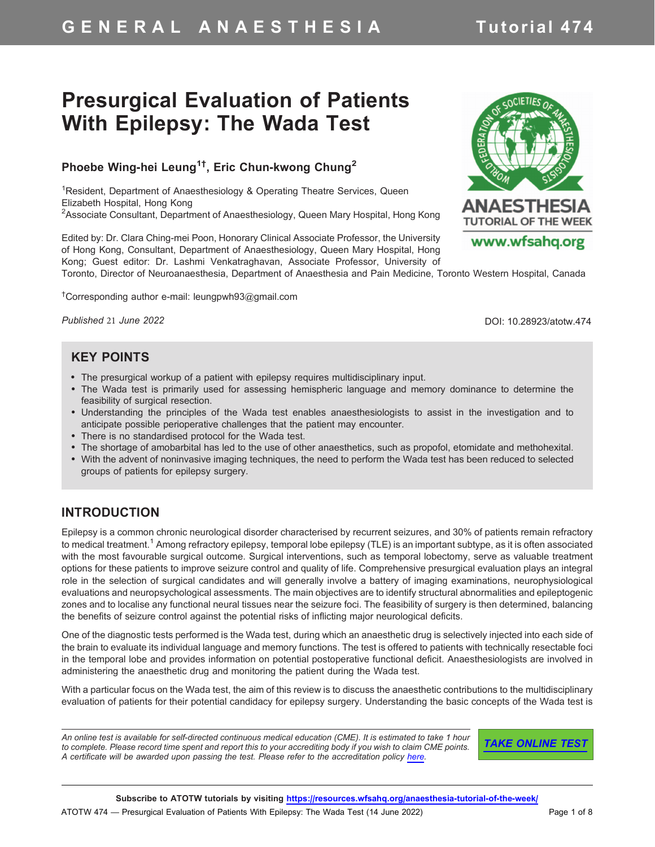# G E N E R A L A N A E S T H E S I A Tutorial 474

# Presurgical Evaluation of Patients With Epilepsy: The Wada Test

## Phoebe Wing-hei Leung<sup>1†</sup>, Eric Chun-kwong Chung<sup>2</sup>

<sup>1</sup>Resident, Department of Anaesthesiology & Operating Theatre Services, Queen Elizabeth Hospital, Hong Kong <sup>2</sup>Associate Consultant, Department of Anaesthesiology, Queen Mary Hospital, Hong Kong

Edited by: Dr. Clara Ching-mei Poon, Honorary Clinical Associate Professor, the University of Hong Kong, Consultant, Department of Anaesthesiology, Queen Mary Hospital, Hong Kong; Guest editor: Dr. Lashmi Venkatraghavan, Associate Professor, University of Toronto, Director of Neuroanaesthesia, Department of Anaesthesia and Pain Medicine, Toronto Western Hospital, Canada

<sup>†</sup>Corresponding author e-mail: leungpwh93@gmail.com

*Published* 21 *June 2022*

DOI: 10.28923/atotw.474

#### KEY POINTS

- The presurgical workup of a patient with epilepsy requires multidisciplinary input.
- The Wada test is primarily used for assessing hemispheric language and memory dominance to determine the feasibility of surgical resection.
- Understanding the principles of the Wada test enables anaesthesiologists to assist in the investigation and to anticipate possible perioperative challenges that the patient may encounter.
- There is no standardised protocol for the Wada test.
- The shortage of amobarbital has led to the use of other anaesthetics, such as propofol, etomidate and methohexital.
- With the advent of noninvasive imaging techniques, the need to perform the Wada test has been reduced to selected groups of patients for epilepsy surgery.

#### INTRODUCTION

Epilepsy is a common chronic neurological disorder characterised by recurrent seizures, and 30% of patients remain refractory to medical treatment.<sup>1</sup> Among refractory epilepsy, temporal lobe epilepsy (TLE) is an important subtype, as it is often associated with the most favourable surgical outcome. Surgical interventions, such as temporal lobectomy, serve as valuable treatment options for these patients to improve seizure control and quality of life. Comprehensive presurgical evaluation plays an integral role in the selection of surgical candidates and will generally involve a battery of imaging examinations, neurophysiological evaluations and neuropsychological assessments. The main objectives are to identify structural abnormalities and epileptogenic zones and to localise any functional neural tissues near the seizure foci. The feasibility of surgery is then determined, balancing the benefits of seizure control against the potential risks of inflicting major neurological deficits.

One of the diagnostic tests performed is the Wada test, during which an anaesthetic drug is selectively injected into each side of the brain to evaluate its individual language and memory functions. The test is offered to patients with technically resectable foci in the temporal lobe and provides information on potential postoperative functional deficit. Anaesthesiologists are involved in administering the anaesthetic drug and monitoring the patient during the Wada test.

With a particular focus on the Wada test, the aim of this review is to discuss the anaesthetic contributions to the multidisciplinary evaluation of patients for their potential candidacy for epilepsy surgery. Understanding the basic concepts of the Wada test is

*An online test is available for self-directed continuous medical education (CME). It is estimated to take 1 hour to complete. Please record time spent and report this to your accrediting body if you wish to claim CME points. A certificate will be awarded upon passing the test. Please refer to the accreditation policy [here.](https://www.wfsahq.org/cme)*

TAKE ONLINE TEST



www.wfsahq.org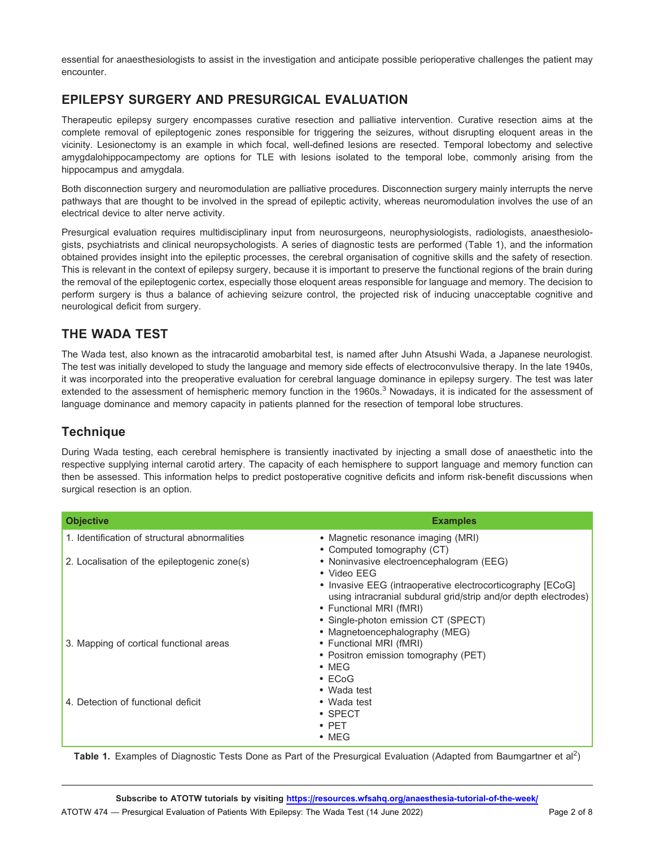essential for anaesthesiologists to assist in the investigation and anticipate possible perioperative challenges the patient may encounter.

#### EPILEPSY SURGERY AND PRESURGICAL EVALUATION

Therapeutic epilepsy surgery encompasses curative resection and palliative intervention. Curative resection aims at the complete removal of epileptogenic zones responsible for triggering the seizures, without disrupting eloquent areas in the vicinity. Lesionectomy is an example in which focal, well-defined lesions are resected. Temporal lobectomy and selective amygdalohippocampectomy are options for TLE with lesions isolated to the temporal lobe, commonly arising from the hippocampus and amygdala.

Both disconnection surgery and neuromodulation are palliative procedures. Disconnection surgery mainly interrupts the nerve pathways that are thought to be involved in the spread of epileptic activity, whereas neuromodulation involves the use of an electrical device to alter nerve activity.

Presurgical evaluation requires multidisciplinary input from neurosurgeons, neurophysiologists, radiologists, anaesthesiologists, psychiatrists and clinical neuropsychologists. A series of diagnostic tests are performed (Table 1), and the information obtained provides insight into the epileptic processes, the cerebral organisation of cognitive skills and the safety of resection. This is relevant in the context of epilepsy surgery, because it is important to preserve the functional regions of the brain during the removal of the epileptogenic cortex, especially those eloquent areas responsible for language and memory. The decision to perform surgery is thus a balance of achieving seizure control, the projected risk of inducing unacceptable cognitive and neurological deficit from surgery.

### THE WADA TEST

The Wada test, also known as the intracarotid amobarbital test, is named after Juhn Atsushi Wada, a Japanese neurologist. The test was initially developed to study the language and memory side effects of electroconvulsive therapy. In the late 1940s, it was incorporated into the preoperative evaluation for cerebral language dominance in epilepsy surgery. The test was later extended to the assessment of hemispheric memory function in the 1960s.<sup>3</sup> Nowadays, it is indicated for the assessment of language dominance and memory capacity in patients planned for the resection of temporal lobe structures.

#### Technique

During Wada testing, each cerebral hemisphere is transiently inactivated by injecting a small dose of anaesthetic into the respective supplying internal carotid artery. The capacity of each hemisphere to support language and memory function can then be assessed. This information helps to predict postoperative cognitive deficits and inform risk-benefit discussions when surgical resection is an option.

| <b>Objective</b>                              | <b>Examples</b>                                                 |
|-----------------------------------------------|-----------------------------------------------------------------|
| 1. Identification of structural abnormalities | • Magnetic resonance imaging (MRI)                              |
|                                               | • Computed tomography (CT)                                      |
| 2. Localisation of the epileptogenic zone(s)  | • Noninvasive electroencephalogram (EEG)                        |
|                                               | • Video EEG                                                     |
|                                               | • Invasive EEG (intraoperative electrocorticography [ECoG]      |
|                                               | using intracranial subdural grid/strip and/or depth electrodes) |
|                                               | • Functional MRI (fMRI)<br>• Single-photon emission CT (SPECT)  |
|                                               |                                                                 |
|                                               | • Magnetoencephalography (MEG)                                  |
| 3. Mapping of cortical functional areas       | • Functional MRI (fMRI)                                         |
|                                               | • Positron emission tomography (PET)                            |
|                                               | $\bullet$ MEG                                                   |
|                                               | $\cdot$ ECoG                                                    |
|                                               | • Wada test                                                     |
| 4. Detection of functional deficit            | • Wada test                                                     |
|                                               | $\cdot$ SPECT                                                   |
|                                               | $\bullet$ PET                                                   |
|                                               | $\bullet$ MEG                                                   |

Table 1. Examples of Diagnostic Tests Done as Part of the Presurgical Evaluation (Adapted from Baumgartner et al<sup>2</sup>)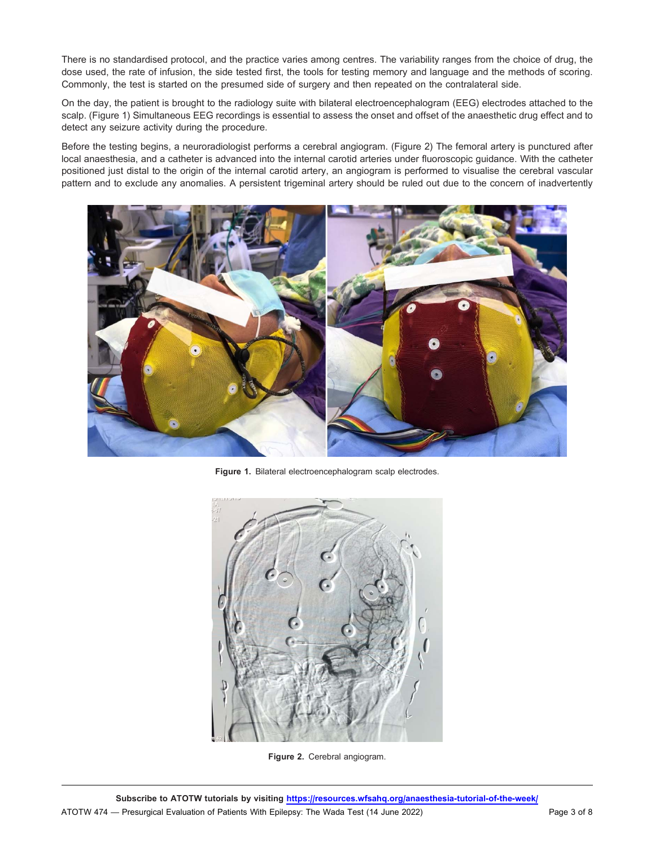There is no standardised protocol, and the practice varies among centres. The variability ranges from the choice of drug, the dose used, the rate of infusion, the side tested first, the tools for testing memory and language and the methods of scoring. Commonly, the test is started on the presumed side of surgery and then repeated on the contralateral side.

On the day, the patient is brought to the radiology suite with bilateral electroencephalogram (EEG) electrodes attached to the scalp. (Figure 1) Simultaneous EEG recordings is essential to assess the onset and offset of the anaesthetic drug effect and to detect any seizure activity during the procedure.

Before the testing begins, a neuroradiologist performs a cerebral angiogram. (Figure 2) The femoral artery is punctured after local anaesthesia, and a catheter is advanced into the internal carotid arteries under fluoroscopic guidance. With the catheter positioned just distal to the origin of the internal carotid artery, an angiogram is performed to visualise the cerebral vascular pattern and to exclude any anomalies. A persistent trigeminal artery should be ruled out due to the concern of inadvertently



Figure 1. Bilateral electroencephalogram scalp electrodes.



Figure 2. Cerebral angiogram.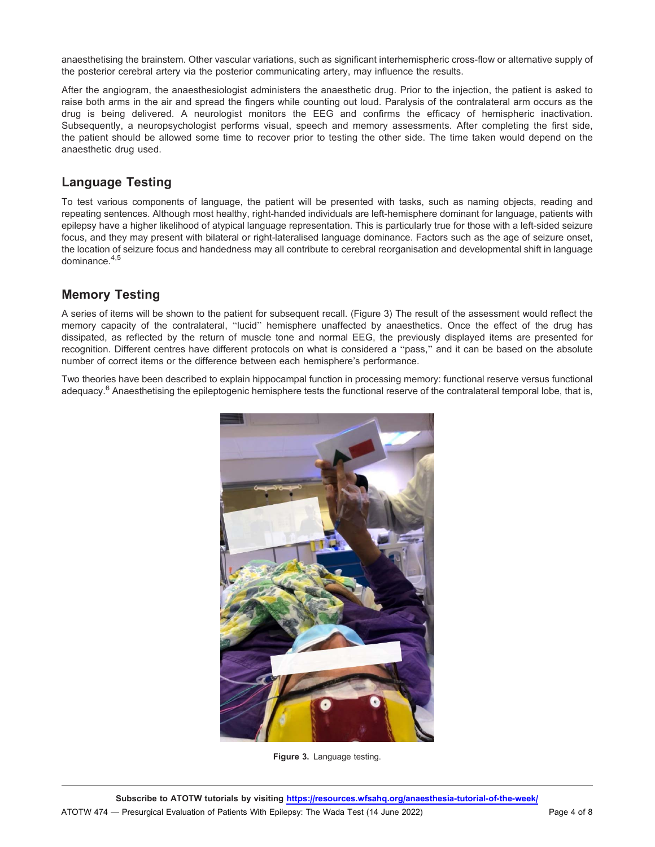anaesthetising the brainstem. Other vascular variations, such as significant interhemispheric cross-flow or alternative supply of the posterior cerebral artery via the posterior communicating artery, may influence the results.

After the angiogram, the anaesthesiologist administers the anaesthetic drug. Prior to the injection, the patient is asked to raise both arms in the air and spread the fingers while counting out loud. Paralysis of the contralateral arm occurs as the drug is being delivered. A neurologist monitors the EEG and confirms the efficacy of hemispheric inactivation. Subsequently, a neuropsychologist performs visual, speech and memory assessments. After completing the first side, the patient should be allowed some time to recover prior to testing the other side. The time taken would depend on the anaesthetic drug used.

#### Language Testing

To test various components of language, the patient will be presented with tasks, such as naming objects, reading and repeating sentences. Although most healthy, right-handed individuals are left-hemisphere dominant for language, patients with epilepsy have a higher likelihood of atypical language representation. This is particularly true for those with a left-sided seizure focus, and they may present with bilateral or right-lateralised language dominance. Factors such as the age of seizure onset, the location of seizure focus and handedness may all contribute to cerebral reorganisation and developmental shift in language dominance.4,5

#### Memory Testing

A series of items will be shown to the patient for subsequent recall. (Figure 3) The result of the assessment would reflect the memory capacity of the contralateral, ''lucid'' hemisphere unaffected by anaesthetics. Once the effect of the drug has dissipated, as reflected by the return of muscle tone and normal EEG, the previously displayed items are presented for recognition. Different centres have different protocols on what is considered a ''pass,'' and it can be based on the absolute number of correct items or the difference between each hemisphere's performance.

Two theories have been described to explain hippocampal function in processing memory: functional reserve versus functional adequacy.<sup>6</sup> Anaesthetising the epileptogenic hemisphere tests the functional reserve of the contralateral temporal lobe, that is,



Figure 3. Language testing.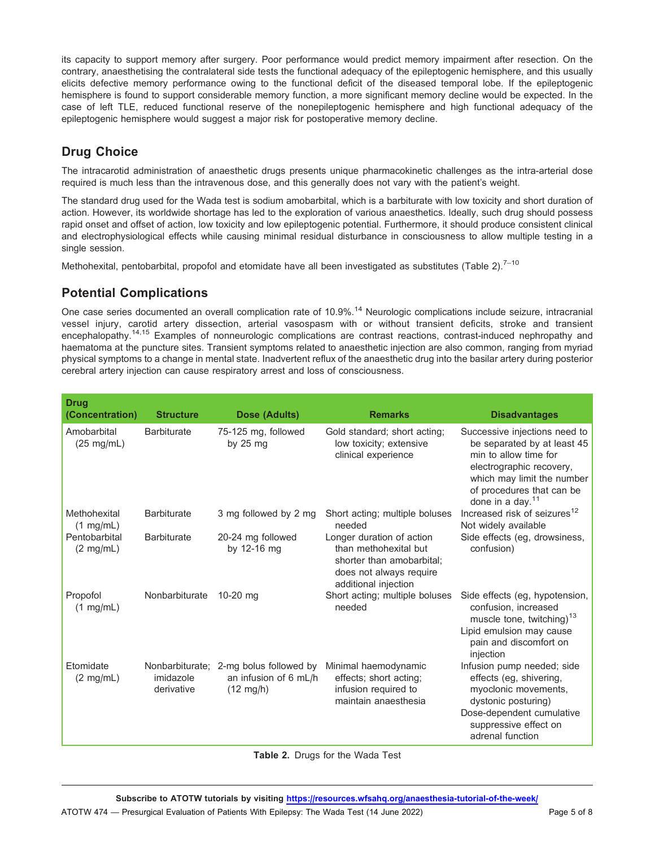its capacity to support memory after surgery. Poor performance would predict memory impairment after resection. On the contrary, anaesthetising the contralateral side tests the functional adequacy of the epileptogenic hemisphere, and this usually elicits defective memory performance owing to the functional deficit of the diseased temporal lobe. If the epileptogenic hemisphere is found to support considerable memory function, a more significant memory decline would be expected. In the case of left TLE, reduced functional reserve of the nonepileptogenic hemisphere and high functional adequacy of the epileptogenic hemisphere would suggest a major risk for postoperative memory decline.

## Drug Choice

The intracarotid administration of anaesthetic drugs presents unique pharmacokinetic challenges as the intra-arterial dose required is much less than the intravenous dose, and this generally does not vary with the patient's weight.

The standard drug used for the Wada test is sodium amobarbital, which is a barbiturate with low toxicity and short duration of action. However, its worldwide shortage has led to the exploration of various anaesthetics. Ideally, such drug should possess rapid onset and offset of action, low toxicity and low epileptogenic potential. Furthermore, it should produce consistent clinical and electrophysiological effects while causing minimal residual disturbance in consciousness to allow multiple testing in a single session.

Methohexital, pentobarbital, propofol and etomidate have all been investigated as substitutes (Table 2).<sup>7-10</sup>

#### Potential Complications

One case series documented an overall complication rate of 10.9%.<sup>14</sup> Neurologic complications include seizure, intracranial vessel injury, carotid artery dissection, arterial vasospasm with or without transient deficits, stroke and transient encephalopathy.<sup>14,15</sup> Examples of nonneurologic complications are contrast reactions, contrast-induced nephropathy and haematoma at the puncture sites. Transient symptoms related to anaesthetic injection are also common, ranging from myriad physical symptoms to a change in mental state. Inadvertent reflux of the anaesthetic drug into the basilar artery during posterior cerebral artery injection can cause respiratory arrest and loss of consciousness.

| <b>Drug</b><br>(Concentration)       | <b>Structure</b>        | Dose (Adults)                                                                          | <b>Remarks</b>                                                                                                                     | <b>Disadvantages</b>                                                                                                                                                                                |
|--------------------------------------|-------------------------|----------------------------------------------------------------------------------------|------------------------------------------------------------------------------------------------------------------------------------|-----------------------------------------------------------------------------------------------------------------------------------------------------------------------------------------------------|
| Amobarbital<br>$(25 \text{ mg/mL})$  | <b>Barbiturate</b>      | 75-125 mg, followed<br>by $25$ mg                                                      | Gold standard; short acting;<br>low toxicity; extensive<br>clinical experience                                                     | Successive injections need to<br>be separated by at least 45<br>min to allow time for<br>electrographic recovery,<br>which may limit the number<br>of procedures that can be<br>done in a day. $11$ |
| Methohexital<br>$(1 \text{ mg/mL})$  | <b>Barbiturate</b>      | 3 mg followed by 2 mg                                                                  | Short acting; multiple boluses<br>needed                                                                                           | Increased risk of seizures <sup>12</sup><br>Not widely available                                                                                                                                    |
| Pentobarbital<br>$(2 \text{ mg/mL})$ | <b>Barbiturate</b>      | 20-24 mg followed<br>by 12-16 mg                                                       | Longer duration of action<br>than methohexital but<br>shorter than amobarbital;<br>does not always require<br>additional injection | Side effects (eg, drowsiness,<br>confusion)                                                                                                                                                         |
| Propofol<br>$(1 \text{ mg/mL})$      | Nonbarbiturate          | $10-20$ mg                                                                             | Short acting; multiple boluses<br>needed                                                                                           | Side effects (eg, hypotension,<br>confusion, increased<br>muscle tone, twitching) <sup>13</sup><br>Lipid emulsion may cause<br>pain and discomfort on<br>injection                                  |
| Etomidate<br>$(2 \text{ mg/mL})$     | imidazole<br>derivative | Nonbarbiturate; 2-mg bolus followed by<br>an infusion of 6 mL/h<br>$(12 \text{ mg/h})$ | Minimal haemodynamic<br>effects; short acting;<br>infusion required to<br>maintain anaesthesia                                     | Infusion pump needed; side<br>effects (eg, shivering,<br>myoclonic movements,<br>dystonic posturing)<br>Dose-dependent cumulative<br>suppressive effect on<br>adrenal function                      |

#### Table 2. Drugs for the Wada Test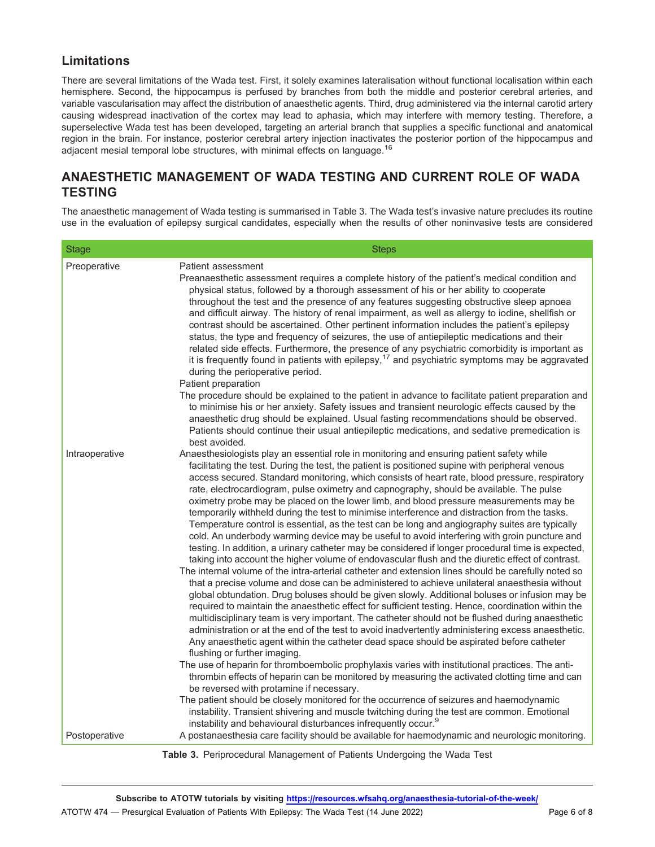#### Limitations

There are several limitations of the Wada test. First, it solely examines lateralisation without functional localisation within each hemisphere. Second, the hippocampus is perfused by branches from both the middle and posterior cerebral arteries, and variable vascularisation may affect the distribution of anaesthetic agents. Third, drug administered via the internal carotid artery causing widespread inactivation of the cortex may lead to aphasia, which may interfere with memory testing. Therefore, a superselective Wada test has been developed, targeting an arterial branch that supplies a specific functional and anatomical region in the brain. For instance, posterior cerebral artery injection inactivates the posterior portion of the hippocampus and adjacent mesial temporal lobe structures, with minimal effects on language.<sup>16</sup>

#### ANAESTHETIC MANAGEMENT OF WADA TESTING AND CURRENT ROLE OF WADA **TESTING**

The anaesthetic management of Wada testing is summarised in Table 3. The Wada test's invasive nature precludes its routine use in the evaluation of epilepsy surgical candidates, especially when the results of other noninvasive tests are considered

| <b>Stage</b>   | <b>Steps</b>                                                                                                                                                                                                                                                                                                                                                                                                                                                                                                                                                                                                                                                                                                                                                                                                                                                                                                                                                                                                                                                                                                                                                                                                                                                                                                                                                                                                                                                                                                                                                                                                                                                                                                                                                                                                                                                                                                                                                                                                                                                                                                                                                                                  |
|----------------|-----------------------------------------------------------------------------------------------------------------------------------------------------------------------------------------------------------------------------------------------------------------------------------------------------------------------------------------------------------------------------------------------------------------------------------------------------------------------------------------------------------------------------------------------------------------------------------------------------------------------------------------------------------------------------------------------------------------------------------------------------------------------------------------------------------------------------------------------------------------------------------------------------------------------------------------------------------------------------------------------------------------------------------------------------------------------------------------------------------------------------------------------------------------------------------------------------------------------------------------------------------------------------------------------------------------------------------------------------------------------------------------------------------------------------------------------------------------------------------------------------------------------------------------------------------------------------------------------------------------------------------------------------------------------------------------------------------------------------------------------------------------------------------------------------------------------------------------------------------------------------------------------------------------------------------------------------------------------------------------------------------------------------------------------------------------------------------------------------------------------------------------------------------------------------------------------|
| Preoperative   | Patient assessment<br>Preanaesthetic assessment requires a complete history of the patient's medical condition and<br>physical status, followed by a thorough assessment of his or her ability to cooperate<br>throughout the test and the presence of any features suggesting obstructive sleep apnoea<br>and difficult airway. The history of renal impairment, as well as allergy to iodine, shellfish or<br>contrast should be ascertained. Other pertinent information includes the patient's epilepsy<br>status, the type and frequency of seizures, the use of antiepileptic medications and their<br>related side effects. Furthermore, the presence of any psychiatric comorbidity is important as<br>it is frequently found in patients with epilepsy, <sup>17</sup> and psychiatric symptoms may be aggravated<br>during the perioperative period.<br>Patient preparation                                                                                                                                                                                                                                                                                                                                                                                                                                                                                                                                                                                                                                                                                                                                                                                                                                                                                                                                                                                                                                                                                                                                                                                                                                                                                                          |
|                | The procedure should be explained to the patient in advance to facilitate patient preparation and<br>to minimise his or her anxiety. Safety issues and transient neurologic effects caused by the<br>anaesthetic drug should be explained. Usual fasting recommendations should be observed.<br>Patients should continue their usual antiepileptic medications, and sedative premedication is<br>best avoided.                                                                                                                                                                                                                                                                                                                                                                                                                                                                                                                                                                                                                                                                                                                                                                                                                                                                                                                                                                                                                                                                                                                                                                                                                                                                                                                                                                                                                                                                                                                                                                                                                                                                                                                                                                                |
| Intraoperative | Anaesthesiologists play an essential role in monitoring and ensuring patient safety while<br>facilitating the test. During the test, the patient is positioned supine with peripheral venous<br>access secured. Standard monitoring, which consists of heart rate, blood pressure, respiratory<br>rate, electrocardiogram, pulse oximetry and capnography, should be available. The pulse<br>oximetry probe may be placed on the lower limb, and blood pressure measurements may be<br>temporarily withheld during the test to minimise interference and distraction from the tasks.<br>Temperature control is essential, as the test can be long and angiography suites are typically<br>cold. An underbody warming device may be useful to avoid interfering with groin puncture and<br>testing. In addition, a urinary catheter may be considered if longer procedural time is expected,<br>taking into account the higher volume of endovascular flush and the diuretic effect of contrast.<br>The internal volume of the intra-arterial catheter and extension lines should be carefully noted so<br>that a precise volume and dose can be administered to achieve unilateral anaesthesia without<br>global obtundation. Drug boluses should be given slowly. Additional boluses or infusion may be<br>required to maintain the anaesthetic effect for sufficient testing. Hence, coordination within the<br>multidisciplinary team is very important. The catheter should not be flushed during anaesthetic<br>administration or at the end of the test to avoid inadvertently administering excess anaesthetic.<br>Any anaesthetic agent within the catheter dead space should be aspirated before catheter<br>flushing or further imaging.<br>The use of heparin for thromboembolic prophylaxis varies with institutional practices. The anti-<br>thrombin effects of heparin can be monitored by measuring the activated clotting time and can<br>be reversed with protamine if necessary.<br>The patient should be closely monitored for the occurrence of seizures and haemodynamic<br>instability. Transient shivering and muscle twitching during the test are common. Emotional |
| Postoperative  | instability and behavioural disturbances infrequently occur. <sup>9</sup><br>A postanaesthesia care facility should be available for haemodynamic and neurologic monitoring.                                                                                                                                                                                                                                                                                                                                                                                                                                                                                                                                                                                                                                                                                                                                                                                                                                                                                                                                                                                                                                                                                                                                                                                                                                                                                                                                                                                                                                                                                                                                                                                                                                                                                                                                                                                                                                                                                                                                                                                                                  |

Table 3. Periprocedural Management of Patients Undergoing the Wada Test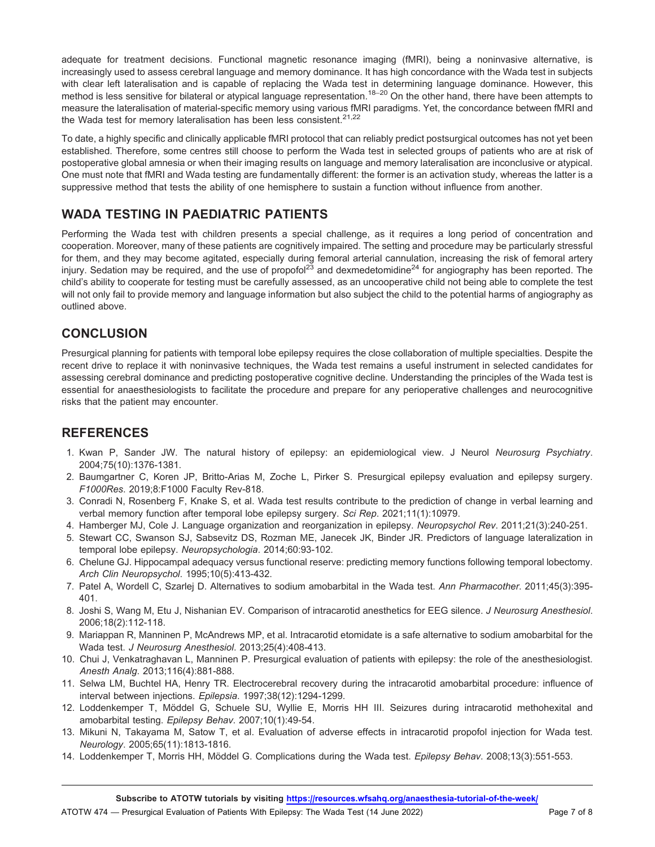adequate for treatment decisions. Functional magnetic resonance imaging (fMRI), being a noninvasive alternative, is increasingly used to assess cerebral language and memory dominance. It has high concordance with the Wada test in subjects with clear left lateralisation and is capable of replacing the Wada test in determining language dominance. However, this method is less sensitive for bilateral or atypical language representation.<sup>18–20</sup> On the other hand, there have been attempts to measure the lateralisation of material-specific memory using various fMRI paradigms. Yet, the concordance between fMRI and the Wada test for memory lateralisation has been less consistent. $21,22$ 

To date, a highly specific and clinically applicable fMRI protocol that can reliably predict postsurgical outcomes has not yet been established. Therefore, some centres still choose to perform the Wada test in selected groups of patients who are at risk of postoperative global amnesia or when their imaging results on language and memory lateralisation are inconclusive or atypical. One must note that fMRI and Wada testing are fundamentally different: the former is an activation study, whereas the latter is a suppressive method that tests the ability of one hemisphere to sustain a function without influence from another.

#### WADA TESTING IN PAEDIATRIC PATIENTS

Performing the Wada test with children presents a special challenge, as it requires a long period of concentration and cooperation. Moreover, many of these patients are cognitively impaired. The setting and procedure may be particularly stressful for them, and they may become agitated, especially during femoral arterial cannulation, increasing the risk of femoral artery injury. Sedation may be required, and the use of propofol<sup>23</sup> and dexmedetomidine<sup>24</sup> for angiography has been reported. The child's ability to cooperate for testing must be carefully assessed, as an uncooperative child not being able to complete the test will not only fail to provide memory and language information but also subject the child to the potential harms of angiography as outlined above.

#### **CONCLUSION**

Presurgical planning for patients with temporal lobe epilepsy requires the close collaboration of multiple specialties. Despite the recent drive to replace it with noninvasive techniques, the Wada test remains a useful instrument in selected candidates for assessing cerebral dominance and predicting postoperative cognitive decline. Understanding the principles of the Wada test is essential for anaesthesiologists to facilitate the procedure and prepare for any perioperative challenges and neurocognitive risks that the patient may encounter.

#### **REFERENCES**

- 1. Kwan P, Sander JW. The natural history of epilepsy: an epidemiological view. J Neurol *Neurosurg Psychiatry*. 2004;75(10):1376-1381.
- 2. Baumgartner C, Koren JP, Britto-Arias M, Zoche L, Pirker S. Presurgical epilepsy evaluation and epilepsy surgery. *F1000Res*. 2019;8:F1000 Faculty Rev-818.
- 3. Conradi N, Rosenberg F, Knake S, et al. Wada test results contribute to the prediction of change in verbal learning and verbal memory function after temporal lobe epilepsy surgery. *Sci Rep*. 2021;11(1):10979.
- 4. Hamberger MJ, Cole J. Language organization and reorganization in epilepsy. *Neuropsychol Rev*. 2011;21(3):240-251.
- 5. Stewart CC, Swanson SJ, Sabsevitz DS, Rozman ME, Janecek JK, Binder JR. Predictors of language lateralization in temporal lobe epilepsy. *Neuropsychologia*. 2014;60:93-102.
- 6. Chelune GJ. Hippocampal adequacy versus functional reserve: predicting memory functions following temporal lobectomy. *Arch Clin Neuropsychol*. 1995;10(5):413-432.
- 7. Patel A, Wordell C, Szarlej D. Alternatives to sodium amobarbital in the Wada test. *Ann Pharmacother*. 2011;45(3):395- 401.
- 8. Joshi S, Wang M, Etu J, Nishanian EV. Comparison of intracarotid anesthetics for EEG silence. *J Neurosurg Anesthesiol*. 2006;18(2):112-118.
- 9. Mariappan R, Manninen P, McAndrews MP, et al. Intracarotid etomidate is a safe alternative to sodium amobarbital for the Wada test. *J Neurosurg Anesthesiol*. 2013;25(4):408-413.
- 10. Chui J, Venkatraghavan L, Manninen P. Presurgical evaluation of patients with epilepsy: the role of the anesthesiologist. *Anesth Analg*. 2013;116(4):881-888.
- 11. Selwa LM, Buchtel HA, Henry TR. Electrocerebral recovery during the intracarotid amobarbital procedure: influence of interval between injections. *Epilepsia*. 1997;38(12):1294-1299.
- 12. Loddenkemper T, Moddel G, Schuele SU, Wyllie E, Morris HH III. Seizures during intracarotid methohexital and ¨ amobarbital testing. *Epilepsy Behav*. 2007;10(1):49-54.
- 13. Mikuni N, Takayama M, Satow T, et al. Evaluation of adverse effects in intracarotid propofol injection for Wada test. *Neurology*. 2005;65(11):1813-1816.
- 14. Loddenkemper T, Morris HH, Möddel G. Complications during the Wada test. Epilepsy Behav. 2008;13(3):551-553.